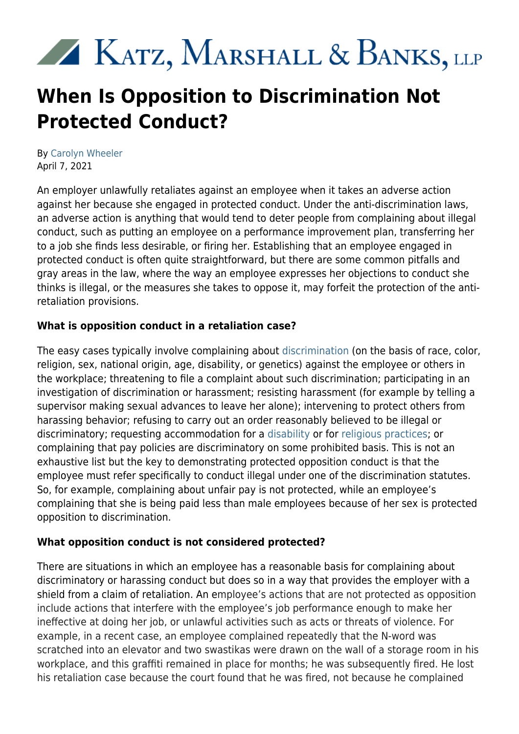# XX KATZ, MARSHALL & BANKS, LLP

# **When Is Opposition to Discrimination Not Protected Conduct?**

By [Carolyn Wheeler](https://kmblegal.com/attorneys-and-staff/carolyn-wheeler) April 7, 2021

An employer unlawfully retaliates against an employee when it takes an adverse action against her because she engaged in protected conduct. Under the anti-discrimination laws, an adverse action is anything that would tend to deter people from complaining about illegal conduct, such as putting an employee on a performance improvement plan, transferring her to a job she finds less desirable, or firing her. Establishing that an employee engaged in protected conduct is often quite straightforward, but there are some common pitfalls and gray areas in the law, where the way an employee expresses her objections to conduct she thinks is illegal, or the measures she takes to oppose it, may forfeit the protection of the antiretaliation provisions.

## **What is opposition conduct in a retaliation case?**

The easy cases typically involve complaining about [discrimination](https://www.kmblegal.com/resources/discrimination-workplace) (on the basis of race, color, religion, sex, national origin, age, disability, or genetics) against the employee or others in the workplace; threatening to file a complaint about such discrimination; participating in an investigation of discrimination or harassment; resisting harassment (for example by telling a supervisor making sexual advances to leave her alone); intervening to protect others from harassing behavior; refusing to carry out an order reasonably believed to be illegal or discriminatory; requesting accommodation for a [disability](https://www.kmblegal.com/practice-areas/discrimination-retaliation/disability-discrimination) or for [religious practices;](https://www.kmblegal.com/practice-areas/discrimination-retaliation/religious-discrimination) or complaining that pay policies are discriminatory on some prohibited basis. This is not an exhaustive list but the key to demonstrating protected opposition conduct is that the employee must refer specifically to conduct illegal under one of the discrimination statutes. So, for example, complaining about unfair pay is not protected, while an employee's complaining that she is being paid less than male employees because of her sex is protected opposition to discrimination.

#### **What opposition conduct is not considered protected?**

There are situations in which an employee has a reasonable basis for complaining about discriminatory or harassing conduct but does so in a way that provides the employer with a shield from a claim of retaliation. An employee's actions that are not protected as opposition include actions that interfere with the employee's job performance enough to make her ineffective at doing her job, or unlawful activities such as acts or threats of violence. For example, in a recent case, an employee complained repeatedly that the N-word was scratched into an elevator and two swastikas were drawn on the wall of a storage room in his workplace, and this graffiti remained in place for months; he was subsequently fired. He lost his retaliation case because the court found that he was fired, not because he complained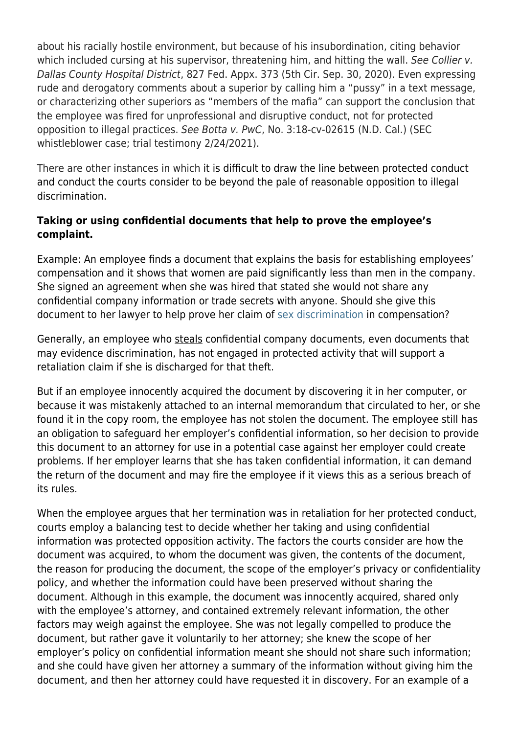about his racially hostile environment, but because of his insubordination, citing behavior which included cursing at his supervisor, threatening him, and hitting the wall. See Collier v. Dallas County Hospital District, 827 Fed. Appx. 373 (5th Cir. Sep. 30, 2020). Even expressing rude and derogatory comments about a superior by calling him a "pussy" in a text message, or characterizing other superiors as "members of the mafia" can support the conclusion that the employee was fired for unprofessional and disruptive conduct, not for protected opposition to illegal practices. See Botta v. PwC, No. 3:18-cv-02615 (N.D. Cal.) (SEC whistleblower case; trial testimony 2/24/2021).

There are other instances in which it is difficult to draw the line between protected conduct and conduct the courts consider to be beyond the pale of reasonable opposition to illegal discrimination.

#### **Taking or using confidential documents that help to prove the employee's complaint.**

Example: An employee finds a document that explains the basis for establishing employees' compensation and it shows that women are paid significantly less than men in the company. She signed an agreement when she was hired that stated she would not share any confidential company information or trade secrets with anyone. Should she give this document to her lawyer to help prove her claim of [sex discrimination](https://www.kmblegal.com/practice-areas/discrimination-retaliation/sexgender-discrimination) in compensation?

Generally, an employee who steals confidential company documents, even documents that may evidence discrimination, has not engaged in protected activity that will support a retaliation claim if she is discharged for that theft.

But if an employee innocently acquired the document by discovering it in her computer, or because it was mistakenly attached to an internal memorandum that circulated to her, or she found it in the copy room, the employee has not stolen the document. The employee still has an obligation to safeguard her employer's confidential information, so her decision to provide this document to an attorney for use in a potential case against her employer could create problems. If her employer learns that she has taken confidential information, it can demand the return of the document and may fire the employee if it views this as a serious breach of its rules.

When the employee argues that her termination was in retaliation for her protected conduct, courts employ a balancing test to decide whether her taking and using confidential information was protected opposition activity. The factors the courts consider are how the document was acquired, to whom the document was given, the contents of the document, the reason for producing the document, the scope of the employer's privacy or confidentiality policy, and whether the information could have been preserved without sharing the document. Although in this example, the document was innocently acquired, shared only with the employee's attorney, and contained extremely relevant information, the other factors may weigh against the employee. She was not legally compelled to produce the document, but rather gave it voluntarily to her attorney; she knew the scope of her employer's policy on confidential information meant she should not share such information; and she could have given her attorney a summary of the information without giving him the document, and then her attorney could have requested it in discovery. For an example of a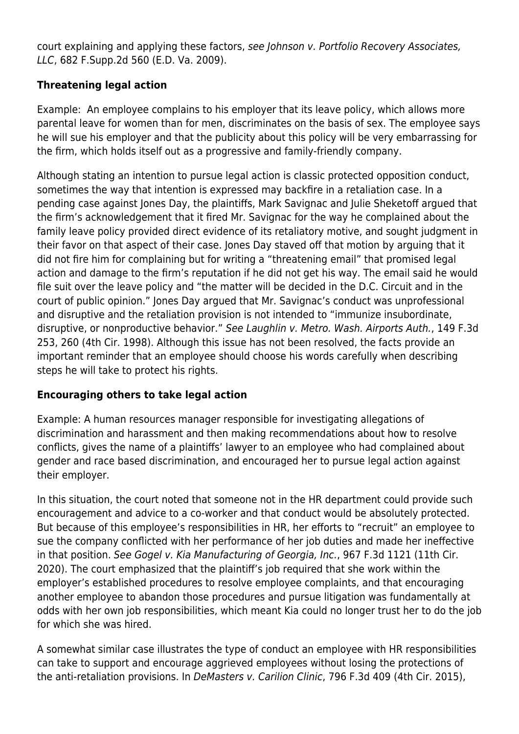court explaining and applying these factors, see Johnson v. Portfolio Recovery Associates, LLC, 682 F.Supp.2d 560 (E.D. Va. 2009).

## **Threatening legal action**

Example: An employee complains to his employer that its leave policy, which allows more parental leave for women than for men, discriminates on the basis of sex. The employee says he will sue his employer and that the publicity about this policy will be very embarrassing for the firm, which holds itself out as a progressive and family-friendly company.

Although stating an intention to pursue legal action is classic protected opposition conduct, sometimes the way that intention is expressed may backfire in a retaliation case. In a pending case against Jones Day, the plaintiffs, Mark Savignac and Julie Sheketoff argued that the firm's acknowledgement that it fired Mr. Savignac for the way he complained about the family leave policy provided direct evidence of its retaliatory motive, and sought judgment in their favor on that aspect of their case. Jones Day staved off that motion by arguing that it did not fire him for complaining but for writing a "threatening email" that promised legal action and damage to the firm's reputation if he did not get his way. The email said he would file suit over the leave policy and "the matter will be decided in the D.C. Circuit and in the court of public opinion." Jones Day argued that Mr. Savignac's conduct was unprofessional and disruptive and the retaliation provision is not intended to "immunize insubordinate, disruptive, or nonproductive behavior." See Laughlin v. Metro. Wash. Airports Auth., 149 F.3d 253, 260 (4th Cir. 1998). Although this issue has not been resolved, the facts provide an important reminder that an employee should choose his words carefully when describing steps he will take to protect his rights.

#### **Encouraging others to take legal action**

Example: A human resources manager responsible for investigating allegations of discrimination and harassment and then making recommendations about how to resolve conflicts, gives the name of a plaintiffs' lawyer to an employee who had complained about gender and race based discrimination, and encouraged her to pursue legal action against their employer.

In this situation, the court noted that someone not in the HR department could provide such encouragement and advice to a co-worker and that conduct would be absolutely protected. But because of this employee's responsibilities in HR, her efforts to "recruit" an employee to sue the company conflicted with her performance of her job duties and made her ineffective in that position. See Gogel v. Kia Manufacturing of Georgia, Inc., 967 F.3d 1121 (11th Cir. 2020). The court emphasized that the plaintiff's job required that she work within the employer's established procedures to resolve employee complaints, and that encouraging another employee to abandon those procedures and pursue litigation was fundamentally at odds with her own job responsibilities, which meant Kia could no longer trust her to do the job for which she was hired.

A somewhat similar case illustrates the type of conduct an employee with HR responsibilities can take to support and encourage aggrieved employees without losing the protections of the anti-retaliation provisions. In DeMasters v. Carilion Clinic, 796 F.3d 409 (4th Cir. 2015),